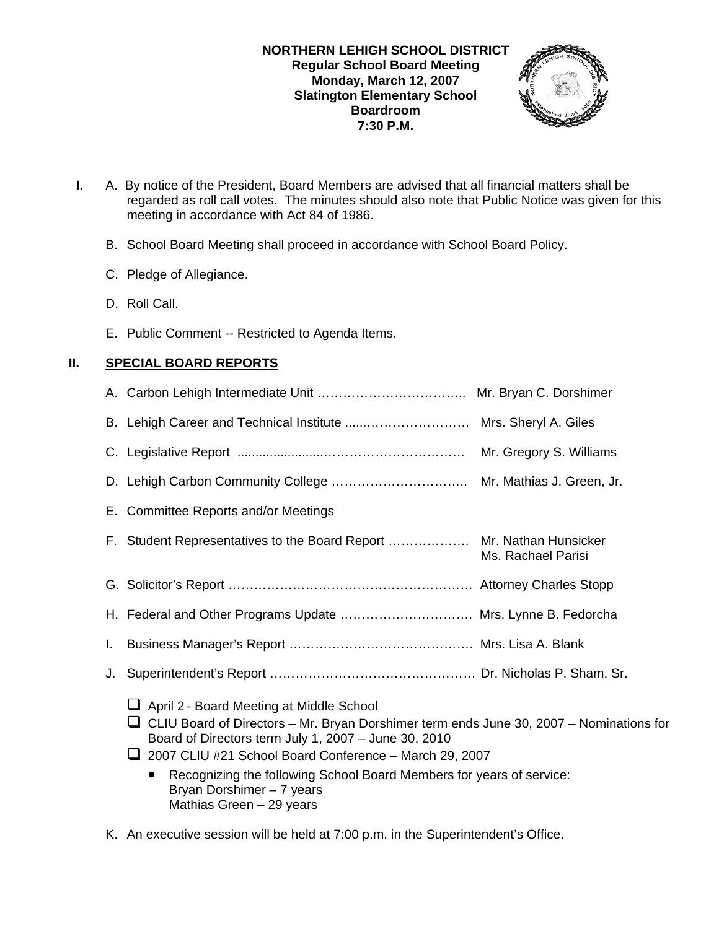

- **I.** A. By notice of the President, Board Members are advised that all financial matters shall be regarded as roll call votes. The minutes should also note that Public Notice was given for this meeting in accordance with Act 84 of 1986.
	- B. School Board Meeting shall proceed in accordance with School Board Policy.
	- C. Pledge of Allegiance.
	- D. Roll Call.
	- E. Public Comment -- Restricted to Agenda Items.

# **II. SPECIAL BOARD REPORTS**

|    | E. Committee Reports and/or Meetings                                                                                                                                                                                                                                                                                                                                                                 |                    |
|----|------------------------------------------------------------------------------------------------------------------------------------------------------------------------------------------------------------------------------------------------------------------------------------------------------------------------------------------------------------------------------------------------------|--------------------|
|    | F. Student Representatives to the Board Report  Mr. Nathan Hunsicker                                                                                                                                                                                                                                                                                                                                 | Ms. Rachael Parisi |
|    |                                                                                                                                                                                                                                                                                                                                                                                                      |                    |
|    | H. Federal and Other Programs Update  Mrs. Lynne B. Fedorcha                                                                                                                                                                                                                                                                                                                                         |                    |
| L. |                                                                                                                                                                                                                                                                                                                                                                                                      |                    |
| J. |                                                                                                                                                                                                                                                                                                                                                                                                      |                    |
|    | April 2 - Board Meeting at Middle School<br>$\Box$ CLIU Board of Directors – Mr. Bryan Dorshimer term ends June 30, 2007 – Nominations for<br>Board of Directors term July 1, 2007 - June 30, 2010<br>$\Box$ 2007 CLIU #21 School Board Conference - March 29, 2007<br>Recognizing the following School Board Members for years of service:<br>Bryan Dorshimer - 7 years<br>Mathias Green - 29 years |                    |

K. An executive session will be held at 7:00 p.m. in the Superintendent's Office.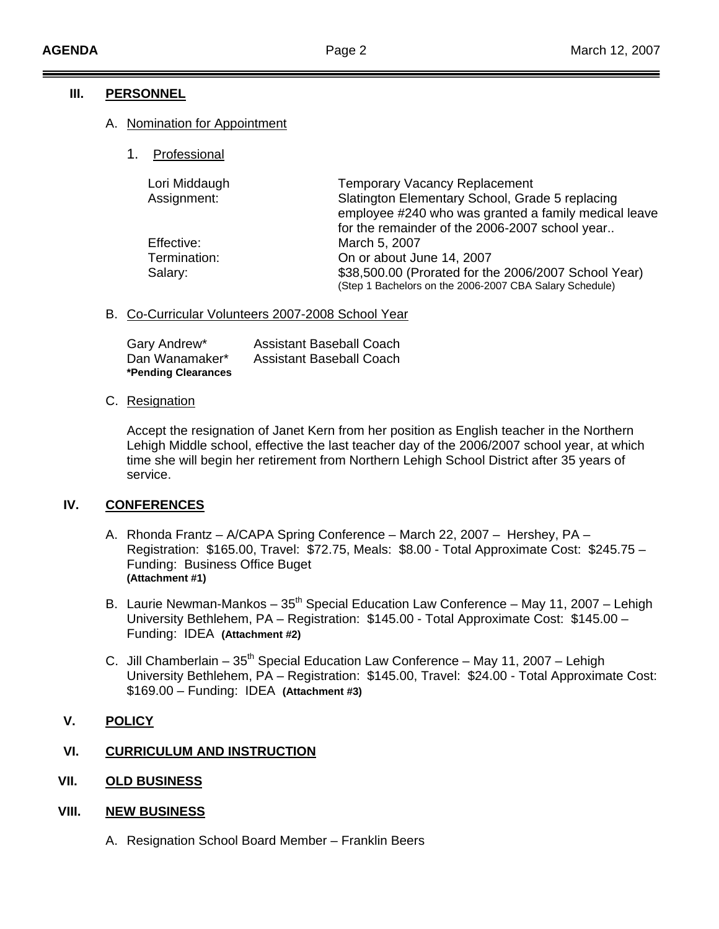## **III. PERSONNEL**

## A. Nomination for Appointment

1. Professional

| Lori Middaugh | <b>Temporary Vacancy Replacement</b>                                                                            |
|---------------|-----------------------------------------------------------------------------------------------------------------|
| Assignment:   | Slatington Elementary School, Grade 5 replacing<br>employee #240 who was granted a family medical leave         |
|               | for the remainder of the 2006-2007 school year                                                                  |
| Effective:    | March 5, 2007                                                                                                   |
| Termination:  | On or about June 14, 2007                                                                                       |
| Salary:       | \$38,500.00 (Prorated for the 2006/2007 School Year)<br>(Step 1 Bachelors on the 2006-2007 CBA Salary Schedule) |

## B. Co-Curricular Volunteers 2007-2008 School Year

| Gary Andrew*        | <b>Assistant Baseball Coach</b> |
|---------------------|---------------------------------|
| Dan Wanamaker*      | Assistant Baseball Coach        |
| *Pending Clearances |                                 |

## C. Resignation

Lehigh Middle school, effective the last teacher day of the 2006/2007 school year, at which time she will begin her retirement from Northern Lehigh School District after 35 years of service. Accept the resignation of Janet Kern from her position as English teacher in the Northern

#### **. CONFERENCES IV**

- A. Rhonda Frantz A/CAPA Spring Conference March 22, 2007 Hershey, PA Registration: \$165.00, Travel: \$72.75, Meals: \$8.00 - Total Approximate Cost: \$245.75 -Funding: Business Office Buget **(Attachment #1)**
- B. Laurie Newman-Mankos 35<sup>th</sup> Special Education Law Conference May 11, 2007 Lehigh University Bethlehem, PA – Registration: \$145.00 - Total Approximate Cost: \$145.00 – Funding: IDEA **(Attachment #2)**
- C. Jill Chamberlain  $35<sup>th</sup>$  Special Education Law Conference May 11, 2007 Lehigh University Bethlehem, PA – Registration: \$145.00, Travel: \$24.00 - Total Approximate Cost: \$169.00 – Funding: IDEA **(Attachment #3)**

## **V. POLICY**

## **VI. CURRICULUM AND INSTRUCTION**

**VII. OLD BUSINESS**

#### **VIII. NEW BUSINESS**

A. Resignation School Board Member – Franklin Beers